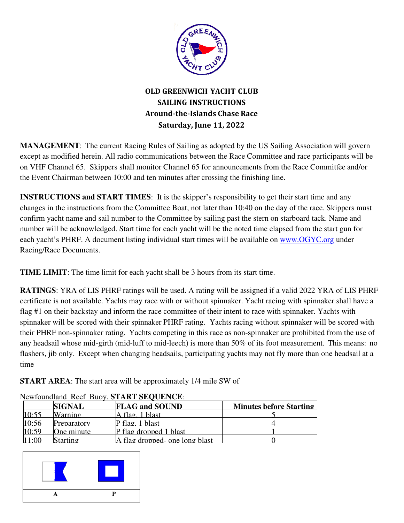

# **OLD GREENWICH YACHT CLUB SAILING INSTRUCTIONS Around-the-Islands Chase Race Saturday, June 11, 2022**

**MANAGEMENT**: The current Racing Rules of Sailing as adopted by the US Sailing Association will govern except as modified herein. All radio communications between the Race Committee and race participants will be on VHF Channel 65. Skippers shall monitor Channel 65 for announcements from the Race Committee and/or the Event Chairman between 10:00 and ten minutes after crossing the finishing line.

**INSTRUCTIONS and START TIMES:** It is the skipper's responsibility to get their start time and any changes in the instructions from the Committee Boat, not later than 10:40 on the day of the race. Skippers must confirm yacht name and sail number to the Committee by sailing past the stern on starboard tack. Name and number will be acknowledged. Start time for each yacht will be the noted time elapsed from the start gun for each yacht's PHRF. A document listing individual start times will be available on www.OGYC.org under Racing/Race Documents.

**TIME LIMIT**: The time limit for each yacht shall be 3 hours from its start time.

**RATINGS**: YRA of LIS PHRF ratings will be used. A rating will be assigned if a valid 2022 YRA of LIS PHRF certificate is not available. Yachts may race with or without spinnaker. Yacht racing with spinnaker shall have a flag #1 on their backstay and inform the race committee of their intent to race with spinnaker. Yachts with spinnaker will be scored with their spinnaker PHRF rating. Yachts racing without spinnaker will be scored with their PHRF non-spinnaker rating. Yachts competing in this race as non-spinnaker are prohibited from the use of any headsail whose mid-girth (mid-luff to mid-leech) is more than 50% of its foot measurement. This means: no flashers, jib only. Except when changing headsails, participating yachts may not fly more than one headsail at a time

**START AREA**: The start area will be approximately 1/4 mile SW of

|       | <b>SIGNAL</b>        | <b>FLAG and SOUND</b>          | <b>Minutes before Starting</b> |
|-------|----------------------|--------------------------------|--------------------------------|
| 10.55 | Warning              | lA flag. 1 blast               |                                |
| 10:56 | Preparatory          | $P$ flag. 1 blast              |                                |
| 10.59 | One minute           | P flag dropped 1 blast         |                                |
| 11.00 | S <sub>fartino</sub> | A flag dropped- one long blast |                                |

## Newfoundland Reef Buoy. **START SEQUENCE**:

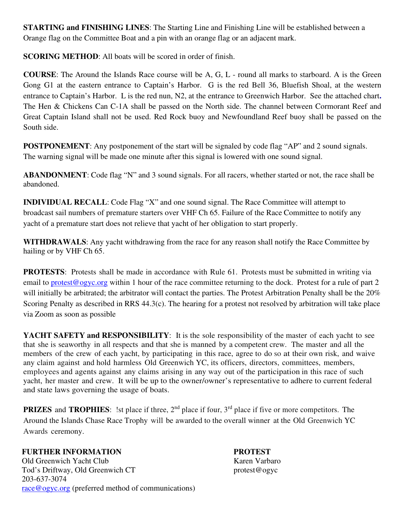**STARTING and FINISHING LINES**: The Starting Line and Finishing Line will be established between a Orange flag on the Committee Boat and a pin with an orange flag or an adjacent mark.

**SCORING METHOD:** All boats will be scored in order of finish.

**COURSE**: The Around the Islands Race course will be A, G, L - round all marks to starboard. A is the Green Gong G1 at the eastern entrance to Captain's Harbor. G is the red Bell 36, Bluefish Shoal, at the western entrance to Captain's Harbor. L is the red nun, N2, at the entrance to Greenwich Harbor. See the attached chart**.**  The Hen & Chickens Can C-1A shall be passed on the North side. The channel between Cormorant Reef and Great Captain Island shall not be used. Red Rock buoy and Newfoundland Reef buoy shall be passed on the South side.

**POSTPONEMENT:** Any postponement of the start will be signaled by code flag "AP" and 2 sound signals. The warning signal will be made one minute after this signal is lowered with one sound signal.

**ABANDONMENT**: Code flag "N" and 3 sound signals. For all racers, whether started or not, the race shall be abandoned.

**INDIVIDUAL RECALL:** Code Flag "X" and one sound signal. The Race Committee will attempt to broadcast sail numbers of premature starters over VHF Ch 65. Failure of the Race Committee to notify any yacht of a premature start does not relieve that yacht of her obligation to start properly.

**WITHDRAWALS**: Any yacht withdrawing from the race for any reason shall notify the Race Committee by hailing or by VHF Ch 65.

**PROTESTS:** Protests shall be made in accordance with Rule 61. Protests must be submitted in writing via email to protest@ogyc.org within 1 hour of the race committee returning to the dock. Protest for a rule of part 2 will initially be arbitrated; the arbitrator will contact the parties. The Protest Arbitration Penalty shall be the 20% Scoring Penalty as described in RRS 44.3(c). The hearing for a protest not resolved by arbitration will take place via Zoom as soon as possible

**YACHT SAFETY and RESPONSIBILITY:** It is the sole responsibility of the master of each yacht to see that she is seaworthy in all respects and that she is manned by a competent crew. The master and all the members of the crew of each yacht, by participating in this race, agree to do so at their own risk, and waive any claim against and hold harmless Old Greenwich YC, its officers, directors, committees, members, employees and agents against any claims arising in any way out of the participation in this race of such yacht, her master and crew. It will be up to the owner/owner's representative to adhere to current federal and state laws governing the usage of boats.

**PRIZES** and **TROPHIES**: !st place if three, 2<sup>nd</sup> place if four, 3<sup>rd</sup> place if five or more competitors. The Around the Islands Chase Race Trophy will be awarded to the overall winner at the Old Greenwich YC Awards ceremony.

### **FURTHER INFORMATION FURTHER INFORMATION**

Old Greenwich Yacht Club Karen Varbaro Tod's Driftway, Old Greenwich CT protest@ogyc 203-637-3074 race@ogyc.org (preferred method of communications)